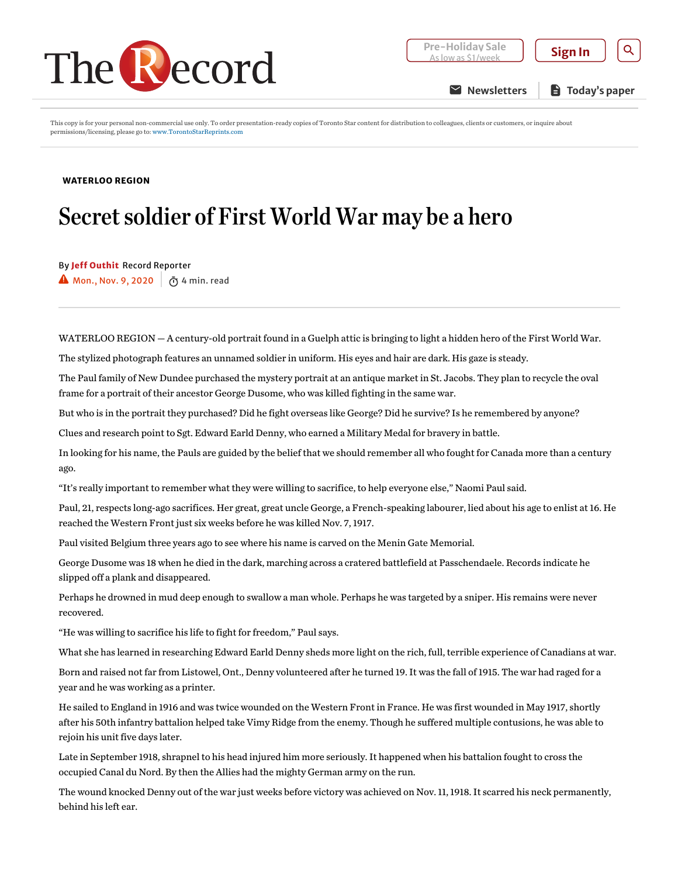

**[Newsletters](https://www.therecord.com/newsletters?nsrc=header-button) E** Today's paper

This copy is for your personal non-commercial use only. To order presentation-ready copies of Toronto Star content for distribution to colleagues, clients or customers, or inquire about permissions/licensing, please go to: [www.TorontoStarReprints.com](http://www.torontostarreprints.com/)

## [WATERLOO](https://www.therecord.com/news/waterloo-region.html) REGION

## Secret soldier of First World War may be a hero

By Jeff [Outhit](https://www.therecord.com/authors.outhit_jeff.html) Record Reporter

 $\blacktriangle$  Mon., Nov. 9, 2020  $\boxed{\tilde{\bigcirc}}$  4 min. read

WATERLOO REGION — A century-old portrait found in a Guelph attic is bringing to light a hidden hero of the First World War.

The stylized photograph features an unnamed soldier in uniform. His eyes and hair are dark. His gaze is steady.

The Paul family of New Dundee purchased the mystery portrait at an antique market in St. Jacobs. They plan to recycle the oval frame for a portrait of their ancestor George Dusome, who was killed fighting in the same war.

But who is in the portrait they purchased? Did he fight overseas like George? Did he survive? Is he remembered byanyone?

Clues and research point to Sgt. Edward Earld Denny, who earned a Military Medal for braveryin battle.

In looking for his name, the Pauls are guided bythe belief that we should remember all who fought for Canada more than a century ago.

"It's reallyimportant to remember what they were willing to sacrifice, to help everyone else," Naomi Paul said.

Paul, 21, respects long-ago sacrifices. Her great, great uncle George, a French-speaking labourer, lied about his age to enlist at 16. He reached the Western Front just six weeks before he was killed Nov. 7, 1917.

Paul visited Belgium three years ago to see where his name is carved on the Menin Gate Memorial.

George Dusome was 18 when he died in the dark, marching across a cratered battlefield at Passchendaele. Records indicate he slipped off a plank and disappeared.

Perhaps he drowned in mud deep enough to swallow a man whole. Perhaps he was targeted bya sniper. His remains were never recovered.

"He was willing to sacrifice his life to fight for freedom," Paul says.

What she has learned in researching Edward Earld Dennysheds more light on the rich, full, terrible experience of Canadians at war.

Born and raised not far from Listowel, Ont., Dennyvolunteered after he turned 19. It was the fall of 1915. The war had raged for a year and he was working as a printer.

He sailed to England in 1916 and was twice wounded on the Western Front in France. He was first wounded in May 1917, shortly after his 50th infantry battalion helped take Vimy Ridge from the enemy. Though he suffered multiple contusions, he was able to rejoin his unit five days later.

Late in September 1918, shrapnel to his head injured him more seriously. It happened when his battalion fought to cross the occupied Canal du Nord. Bythen the Allies had the mighty German army on the run.

The wound knocked Denny out of the war just weeks before victory was achieved on Nov. 11, 1918. It scarred his neck permanently, behind his left ear.